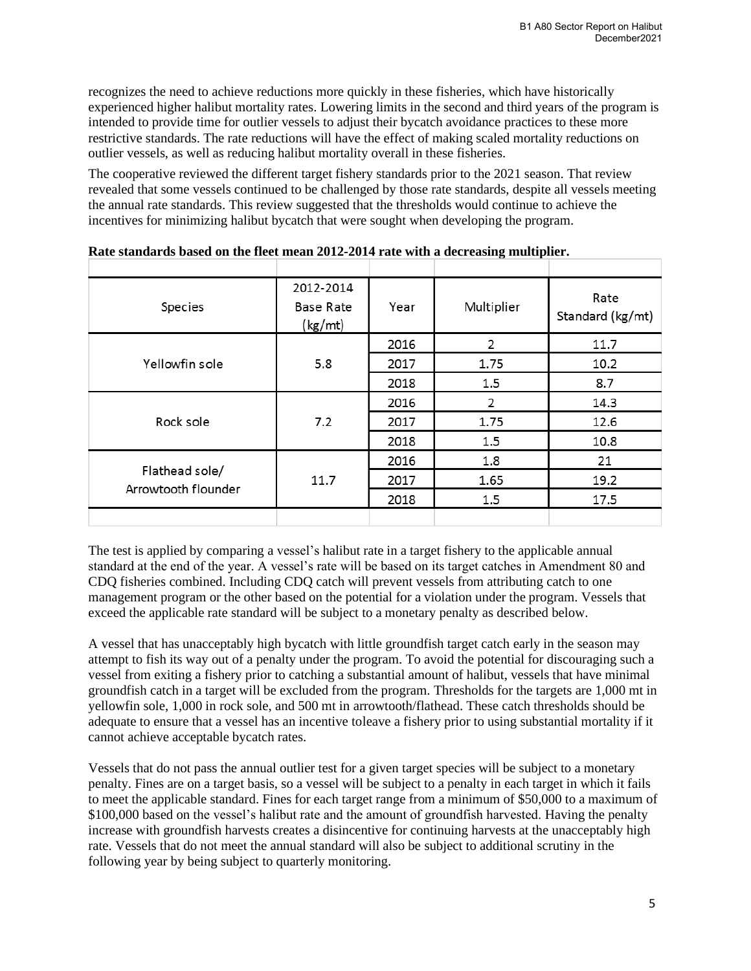recognizes the need to achieve reductions more quickly in these fisheries, which have historically experienced higher halibut mortality rates. Lowering limits in the second and third years of the program is intended to provide time for outlier vessels to adjust their bycatch avoidance practices to these more restrictive standards. The rate reductions will have the effect of making scaled mortality reductions on outlier vessels, as well as reducing halibut mortality overall in these fisheries.

The cooperative reviewed the different target fishery standards prior to the 2021 season. That review revealed that some vessels continued to be challenged by those rate standards, despite all vessels meeting the annual rate standards. This review suggested that the thresholds would continue to achieve the incentives for minimizing halibut bycatch that were sought when developing the program.

| Species                               | 2012-2014<br><b>Base Rate</b><br>(kg/mL) | Year | Multiplier | Rate<br>Standard (kg/mt) |
|---------------------------------------|------------------------------------------|------|------------|--------------------------|
|                                       |                                          | 2016 | 2          | 11.7                     |
| Yellowfin sole                        | 5.8                                      | 2017 | 1.75       | 10.2                     |
|                                       |                                          | 2018 | 1.5        | 8.7                      |
|                                       | 7.2                                      | 2016 | 2          | 14.3                     |
| Rock sole                             |                                          | 2017 | 1.75       | 12.6                     |
|                                       |                                          | 2018 | 1.5        | 10.8                     |
|                                       |                                          | 2016 | 1.8        | 21                       |
| Flathead sole/<br>Arrowtooth flounder | 11.7                                     | 2017 | 1.65       | 19.2                     |
|                                       |                                          | 2018 | 1.5        | 17.5                     |
|                                       |                                          |      |            |                          |

**Rate standards based on the fleet mean 2012-2014 rate with a decreasing multiplier.**

The test is applied by comparing a vessel's halibut rate in a target fishery to the applicable annual standard at the end of the year. A vessel's rate will be based on its target catches in Amendment 80 and CDQ fisheries combined. Including CDQ catch will prevent vessels from attributing catch to one management program or the other based on the potential for a violation under the program. Vessels that exceed the applicable rate standard will be subject to a monetary penalty as described below.

A vessel that has unacceptably high bycatch with little groundfish target catch early in the season may attempt to fish its way out of a penalty under the program. To avoid the potential for discouraging such a vessel from exiting a fishery prior to catching a substantial amount of halibut, vessels that have minimal groundfish catch in a target will be excluded from the program. Thresholds for the targets are 1,000 mt in yellowfin sole, 1,000 in rock sole, and 500 mt in arrowtooth/flathead. These catch thresholds should be adequate to ensure that a vessel has an incentive toleave a fishery prior to using substantial mortality if it cannot achieve acceptable bycatch rates.

Vessels that do not pass the annual outlier test for a given target species will be subject to a monetary penalty. Fines are on a target basis, so a vessel will be subject to a penalty in each target in which it fails to meet the applicable standard. Fines for each target range from a minimum of \$50,000 to a maximum of \$100,000 based on the vessel's halibut rate and the amount of groundfish harvested. Having the penalty increase with groundfish harvests creates a disincentive for continuing harvests at the unacceptably high rate. Vessels that do not meet the annual standard will also be subject to additional scrutiny in the following year by being subject to quarterly monitoring.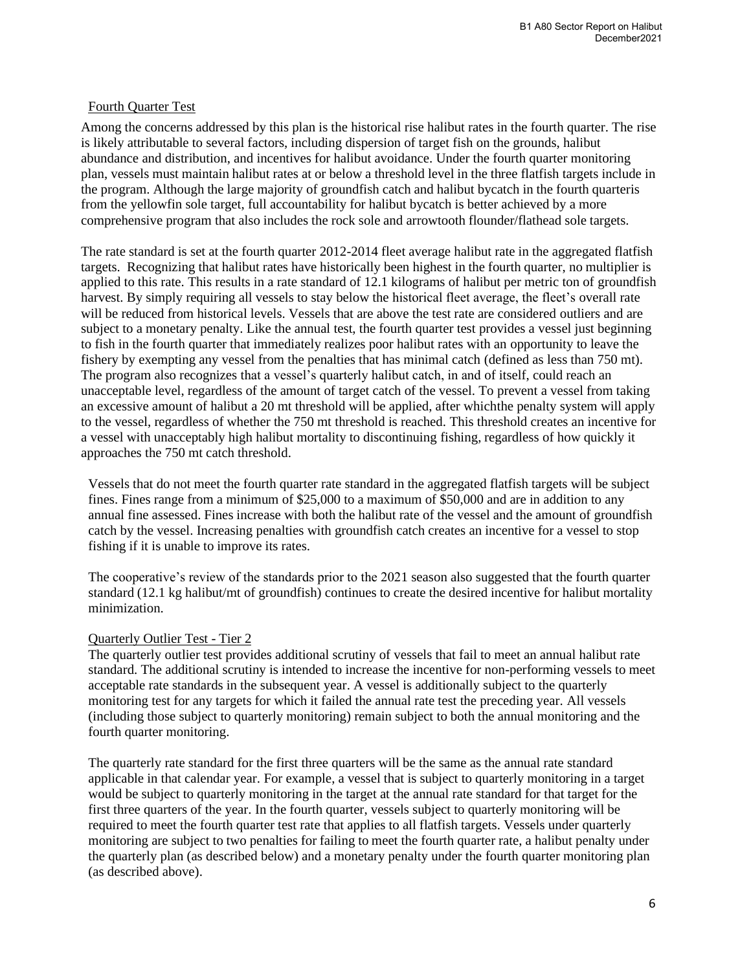### Fourth Quarter Test

Among the concerns addressed by this plan is the historical rise halibut rates in the fourth quarter. The rise is likely attributable to several factors, including dispersion of target fish on the grounds, halibut abundance and distribution, and incentives for halibut avoidance. Under the fourth quarter monitoring plan, vessels must maintain halibut rates at or below a threshold level in the three flatfish targets include in the program. Although the large majority of groundfish catch and halibut bycatch in the fourth quarteris from the yellowfin sole target, full accountability for halibut bycatch is better achieved by a more comprehensive program that also includes the rock sole and arrowtooth flounder/flathead sole targets.

The rate standard is set at the fourth quarter 2012-2014 fleet average halibut rate in the aggregated flatfish targets. Recognizing that halibut rates have historically been highest in the fourth quarter, no multiplier is applied to this rate. This results in a rate standard of 12.1 kilograms of halibut per metric ton of groundfish harvest. By simply requiring all vessels to stay below the historical fleet average, the fleet's overall rate will be reduced from historical levels. Vessels that are above the test rate are considered outliers and are subject to a monetary penalty. Like the annual test, the fourth quarter test provides a vessel just beginning to fish in the fourth quarter that immediately realizes poor halibut rates with an opportunity to leave the fishery by exempting any vessel from the penalties that has minimal catch (defined as less than 750 mt). The program also recognizes that a vessel's quarterly halibut catch, in and of itself, could reach an unacceptable level, regardless of the amount of target catch of the vessel. To prevent a vessel from taking an excessive amount of halibut a 20 mt threshold will be applied, after whichthe penalty system will apply to the vessel, regardless of whether the 750 mt threshold is reached. This threshold creates an incentive for a vessel with unacceptably high halibut mortality to discontinuing fishing, regardless of how quickly it approaches the 750 mt catch threshold.

Vessels that do not meet the fourth quarter rate standard in the aggregated flatfish targets will be subject fines. Fines range from a minimum of \$25,000 to a maximum of \$50,000 and are in addition to any annual fine assessed. Fines increase with both the halibut rate of the vessel and the amount of groundfish catch by the vessel. Increasing penalties with groundfish catch creates an incentive for a vessel to stop fishing if it is unable to improve its rates.

The cooperative's review of the standards prior to the 2021 season also suggested that the fourth quarter standard (12.1 kg halibut/mt of groundfish) continues to create the desired incentive for halibut mortality minimization.

#### Quarterly Outlier Test - Tier 2

The quarterly outlier test provides additional scrutiny of vessels that fail to meet an annual halibut rate standard. The additional scrutiny is intended to increase the incentive for non-performing vessels to meet acceptable rate standards in the subsequent year. A vessel is additionally subject to the quarterly monitoring test for any targets for which it failed the annual rate test the preceding year. All vessels (including those subject to quarterly monitoring) remain subject to both the annual monitoring and the fourth quarter monitoring.

The quarterly rate standard for the first three quarters will be the same as the annual rate standard applicable in that calendar year. For example, a vessel that is subject to quarterly monitoring in a target would be subject to quarterly monitoring in the target at the annual rate standard for that target for the first three quarters of the year. In the fourth quarter, vessels subject to quarterly monitoring will be required to meet the fourth quarter test rate that applies to all flatfish targets. Vessels under quarterly monitoring are subject to two penalties for failing to meet the fourth quarter rate, a halibut penalty under the quarterly plan (as described below) and a monetary penalty under the fourth quarter monitoring plan (as described above).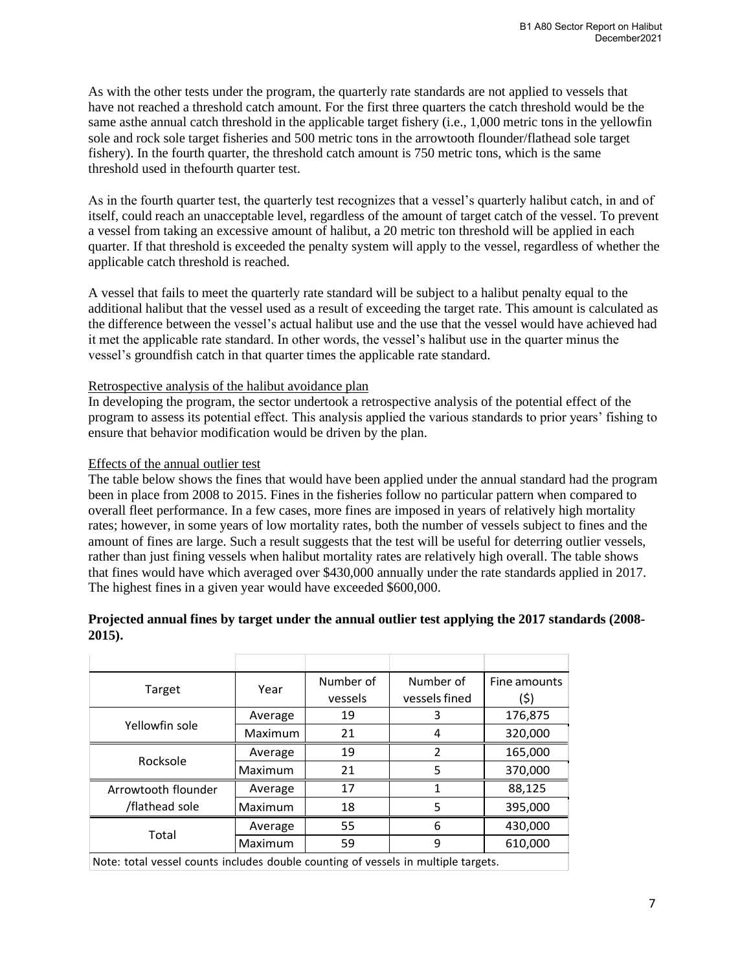As with the other tests under the program, the quarterly rate standards are not applied to vessels that have not reached a threshold catch amount. For the first three quarters the catch threshold would be the same asthe annual catch threshold in the applicable target fishery (i.e., 1,000 metric tons in the yellowfin sole and rock sole target fisheries and 500 metric tons in the arrowtooth flounder/flathead sole target fishery). In the fourth quarter, the threshold catch amount is 750 metric tons, which is the same threshold used in thefourth quarter test.

As in the fourth quarter test, the quarterly test recognizes that a vessel's quarterly halibut catch, in and of itself, could reach an unacceptable level, regardless of the amount of target catch of the vessel. To prevent a vessel from taking an excessive amount of halibut, a 20 metric ton threshold will be applied in each quarter. If that threshold is exceeded the penalty system will apply to the vessel, regardless of whether the applicable catch threshold is reached.

A vessel that fails to meet the quarterly rate standard will be subject to a halibut penalty equal to the additional halibut that the vessel used as a result of exceeding the target rate. This amount is calculated as the difference between the vessel's actual halibut use and the use that the vessel would have achieved had it met the applicable rate standard. In other words, the vessel's halibut use in the quarter minus the vessel's groundfish catch in that quarter times the applicable rate standard.

### Retrospective analysis of the halibut avoidance plan

In developing the program, the sector undertook a retrospective analysis of the potential effect of the program to assess its potential effect. This analysis applied the various standards to prior years' fishing to ensure that behavior modification would be driven by the plan.

### Effects of the annual outlier test

The table below shows the fines that would have been applied under the annual standard had the program been in place from 2008 to 2015. Fines in the fisheries follow no particular pattern when compared to overall fleet performance. In a few cases, more fines are imposed in years of relatively high mortality rates; however, in some years of low mortality rates, both the number of vessels subject to fines and the amount of fines are large. Such a result suggests that the test will be useful for deterring outlier vessels, rather than just fining vessels when halibut mortality rates are relatively high overall. The table shows that fines would have which averaged over \$430,000 annually under the rate standards applied in 2017. The highest fines in a given year would have exceeded \$600,000.

### **Projected annual fines by target under the annual outlier test applying the 2017 standards (2008- 2015).**

|                                                                                                              | Year    | Number of | Number of      | Fine amounts |  |
|--------------------------------------------------------------------------------------------------------------|---------|-----------|----------------|--------------|--|
| Target                                                                                                       |         | vessels   | vessels fined  | (\$)         |  |
|                                                                                                              | Average | 19        | 3              | 176,875      |  |
| Yellowfin sole                                                                                               | Maximum | 21        | 4              | 320,000      |  |
| Rocksole                                                                                                     | Average | 19        | $\overline{2}$ | 165,000      |  |
|                                                                                                              | Maximum | 21        | 5              | 370,000      |  |
| Arrowtooth flounder                                                                                          | Average | 17        | 1              | 88,125       |  |
| /flathead sole                                                                                               | Maximum | 18        | 5              | 395,000      |  |
| Total                                                                                                        | Average | 55        | 6              | 430,000      |  |
|                                                                                                              | Maximum | 59        | 9              | 610,000      |  |
| وبالمجموعة والمنطاريون والمواطئ والمواطن والمستخدم والماريوان والمراجعات والمستحول الموارد المطولة يمطوا الا |         |           |                |              |  |

Note: total vessel counts includes double counting of vessels in multiple targets.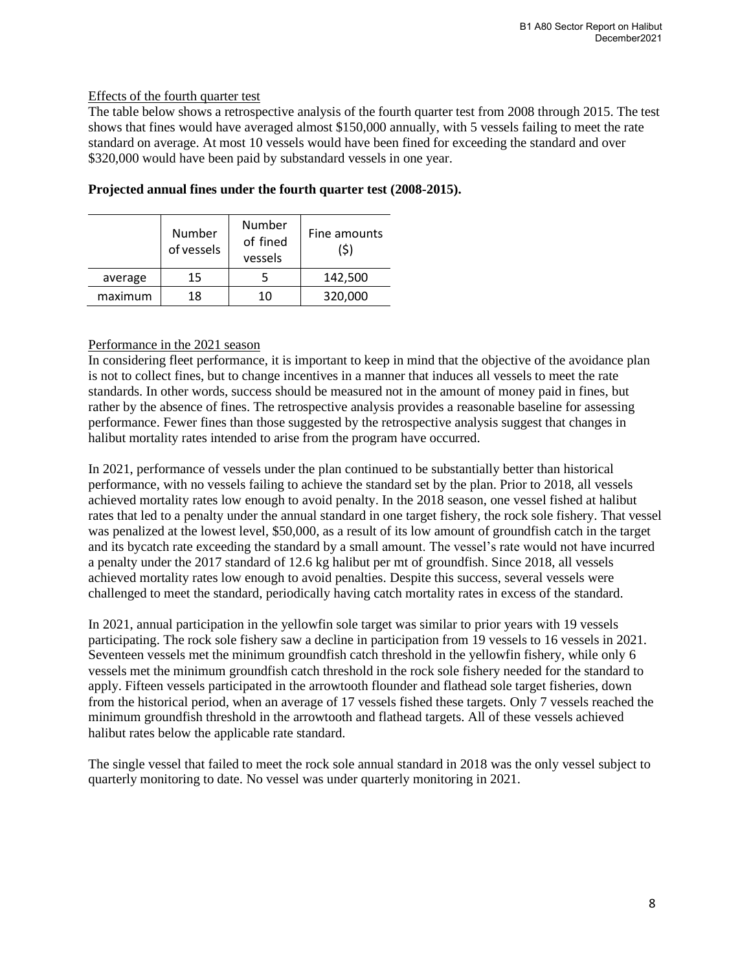# Effects of the fourth quarter test

The table below shows a retrospective analysis of the fourth quarter test from 2008 through 2015. The test shows that fines would have averaged almost \$150,000 annually, with 5 vessels failing to meet the rate standard on average. At most 10 vessels would have been fined for exceeding the standard and over \$320,000 would have been paid by substandard vessels in one year.

|         | Number<br>of vessels | Number<br>of fined<br>vessels | Fine amounts<br>(\$) |
|---------|----------------------|-------------------------------|----------------------|
| average | 15                   |                               | 142,500              |
| maximum | 18                   | 10                            | 320,000              |

# **Projected annual fines under the fourth quarter test (2008-2015).**

# Performance in the 2021 season

In considering fleet performance, it is important to keep in mind that the objective of the avoidance plan is not to collect fines, but to change incentives in a manner that induces all vessels to meet the rate standards. In other words, success should be measured not in the amount of money paid in fines, but rather by the absence of fines. The retrospective analysis provides a reasonable baseline for assessing performance. Fewer fines than those suggested by the retrospective analysis suggest that changes in halibut mortality rates intended to arise from the program have occurred.

In 2021, performance of vessels under the plan continued to be substantially better than historical performance, with no vessels failing to achieve the standard set by the plan. Prior to 2018, all vessels achieved mortality rates low enough to avoid penalty. In the 2018 season, one vessel fished at halibut rates that led to a penalty under the annual standard in one target fishery, the rock sole fishery. That vessel was penalized at the lowest level, \$50,000, as a result of its low amount of groundfish catch in the target and its bycatch rate exceeding the standard by a small amount. The vessel's rate would not have incurred a penalty under the 2017 standard of 12.6 kg halibut per mt of groundfish. Since 2018, all vessels achieved mortality rates low enough to avoid penalties. Despite this success, several vessels were challenged to meet the standard, periodically having catch mortality rates in excess of the standard.

In 2021, annual participation in the yellowfin sole target was similar to prior years with 19 vessels participating. The rock sole fishery saw a decline in participation from 19 vessels to 16 vessels in 2021. Seventeen vessels met the minimum groundfish catch threshold in the yellowfin fishery, while only 6 vessels met the minimum groundfish catch threshold in the rock sole fishery needed for the standard to apply. Fifteen vessels participated in the arrowtooth flounder and flathead sole target fisheries, down from the historical period, when an average of 17 vessels fished these targets. Only 7 vessels reached the minimum groundfish threshold in the arrowtooth and flathead targets. All of these vessels achieved halibut rates below the applicable rate standard.

The single vessel that failed to meet the rock sole annual standard in 2018 was the only vessel subject to quarterly monitoring to date. No vessel was under quarterly monitoring in 2021.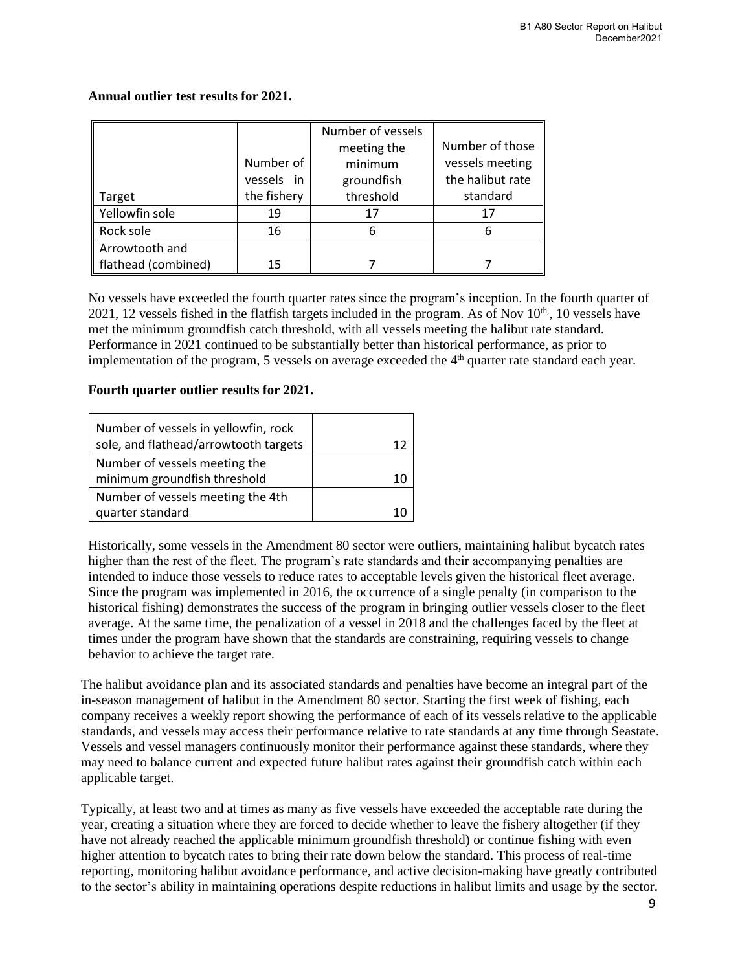|                     |             | Number of vessels |                  |
|---------------------|-------------|-------------------|------------------|
|                     |             | meeting the       | Number of those  |
|                     | Number of   | minimum           | vessels meeting  |
|                     | vessels in  | groundfish        | the halibut rate |
| Target              | the fishery | threshold         | standard         |
| Yellowfin sole      | 19          | 17                | 17               |
| Rock sole           | 16          | 6                 | 6                |
| Arrowtooth and      |             |                   |                  |
| flathead (combined) | 15          |                   |                  |

### **Annual outlier test results for 2021.**

No vessels have exceeded the fourth quarter rates since the program's inception. In the fourth quarter of 2021, 12 vessels fished in the flatfish targets included in the program. As of Nov  $10<sup>th</sup>$ , 10 vessels have met the minimum groundfish catch threshold, with all vessels meeting the halibut rate standard. Performance in 2021 continued to be substantially better than historical performance, as prior to implementation of the program, 5 vessels on average exceeded the 4<sup>th</sup> quarter rate standard each year.

#### **Fourth quarter outlier results for 2021.**

| Number of vessels in yellowfin, rock  |  |
|---------------------------------------|--|
| sole, and flathead/arrowtooth targets |  |
| Number of vessels meeting the         |  |
| minimum groundfish threshold          |  |
| Number of vessels meeting the 4th     |  |
| quarter standard                      |  |

Historically, some vessels in the Amendment 80 sector were outliers, maintaining halibut bycatch rates higher than the rest of the fleet. The program's rate standards and their accompanying penalties are intended to induce those vessels to reduce rates to acceptable levels given the historical fleet average. Since the program was implemented in 2016, the occurrence of a single penalty (in comparison to the historical fishing) demonstrates the success of the program in bringing outlier vessels closer to the fleet average. At the same time, the penalization of a vessel in 2018 and the challenges faced by the fleet at times under the program have shown that the standards are constraining, requiring vessels to change behavior to achieve the target rate.

The halibut avoidance plan and its associated standards and penalties have become an integral part of the in-season management of halibut in the Amendment 80 sector. Starting the first week of fishing, each company receives a weekly report showing the performance of each of its vessels relative to the applicable standards, and vessels may access their performance relative to rate standards at any time through Seastate. Vessels and vessel managers continuously monitor their performance against these standards, where they may need to balance current and expected future halibut rates against their groundfish catch within each applicable target.

Typically, at least two and at times as many as five vessels have exceeded the acceptable rate during the year, creating a situation where they are forced to decide whether to leave the fishery altogether (if they have not already reached the applicable minimum groundfish threshold) or continue fishing with even higher attention to bycatch rates to bring their rate down below the standard. This process of real-time reporting, monitoring halibut avoidance performance, and active decision-making have greatly contributed to the sector's ability in maintaining operations despite reductions in halibut limits and usage by the sector.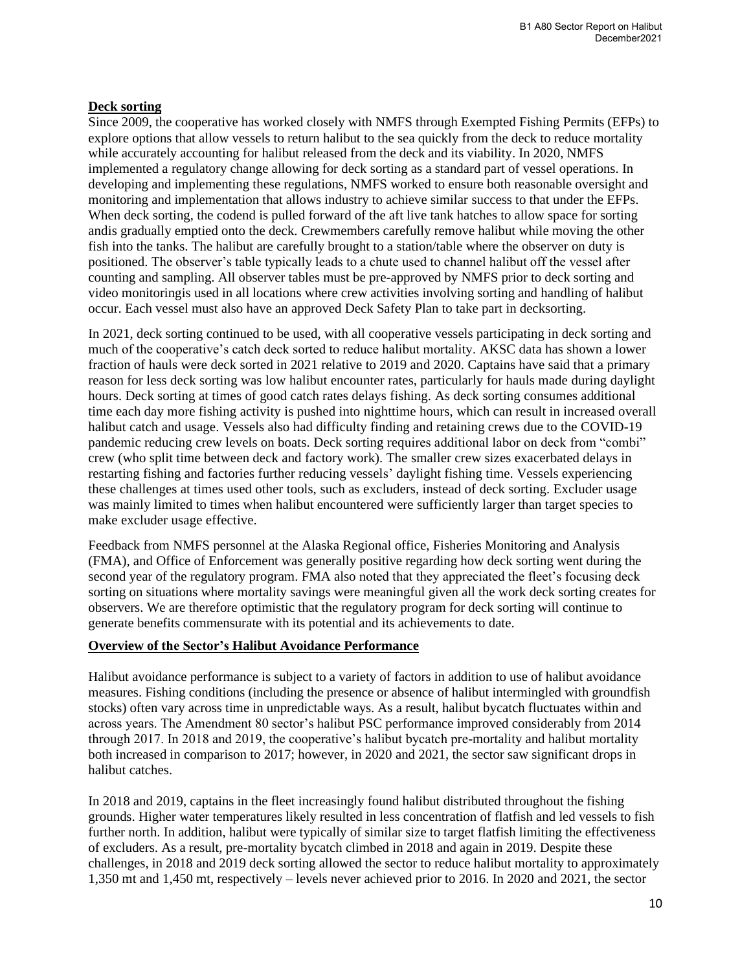# **Deck sorting**

Since 2009, the cooperative has worked closely with NMFS through Exempted Fishing Permits (EFPs) to explore options that allow vessels to return halibut to the sea quickly from the deck to reduce mortality while accurately accounting for halibut released from the deck and its viability. In 2020, NMFS implemented a regulatory change allowing for deck sorting as a standard part of vessel operations. In developing and implementing these regulations, NMFS worked to ensure both reasonable oversight and monitoring and implementation that allows industry to achieve similar success to that under the EFPs. When deck sorting, the codend is pulled forward of the aft live tank hatches to allow space for sorting andis gradually emptied onto the deck. Crewmembers carefully remove halibut while moving the other fish into the tanks. The halibut are carefully brought to a station/table where the observer on duty is positioned. The observer's table typically leads to a chute used to channel halibut off the vessel after counting and sampling. All observer tables must be pre-approved by NMFS prior to deck sorting and video monitoringis used in all locations where crew activities involving sorting and handling of halibut occur. Each vessel must also have an approved Deck Safety Plan to take part in decksorting.

In 2021, deck sorting continued to be used, with all cooperative vessels participating in deck sorting and much of the cooperative's catch deck sorted to reduce halibut mortality. AKSC data has shown a lower fraction of hauls were deck sorted in 2021 relative to 2019 and 2020. Captains have said that a primary reason for less deck sorting was low halibut encounter rates, particularly for hauls made during daylight hours. Deck sorting at times of good catch rates delays fishing. As deck sorting consumes additional time each day more fishing activity is pushed into nighttime hours, which can result in increased overall halibut catch and usage. Vessels also had difficulty finding and retaining crews due to the COVID-19 pandemic reducing crew levels on boats. Deck sorting requires additional labor on deck from "combi" crew (who split time between deck and factory work). The smaller crew sizes exacerbated delays in restarting fishing and factories further reducing vessels' daylight fishing time. Vessels experiencing these challenges at times used other tools, such as excluders, instead of deck sorting. Excluder usage was mainly limited to times when halibut encountered were sufficiently larger than target species to make excluder usage effective.

Feedback from NMFS personnel at the Alaska Regional office, Fisheries Monitoring and Analysis (FMA), and Office of Enforcement was generally positive regarding how deck sorting went during the second year of the regulatory program. FMA also noted that they appreciated the fleet's focusing deck sorting on situations where mortality savings were meaningful given all the work deck sorting creates for observers. We are therefore optimistic that the regulatory program for deck sorting will continue to generate benefits commensurate with its potential and its achievements to date.

### **Overview of the Sector's Halibut Avoidance Performance**

Halibut avoidance performance is subject to a variety of factors in addition to use of halibut avoidance measures. Fishing conditions (including the presence or absence of halibut intermingled with groundfish stocks) often vary across time in unpredictable ways. As a result, halibut bycatch fluctuates within and across years. The Amendment 80 sector's halibut PSC performance improved considerably from 2014 through 2017. In 2018 and 2019, the cooperative's halibut bycatch pre-mortality and halibut mortality both increased in comparison to 2017; however, in 2020 and 2021, the sector saw significant drops in halibut catches.

In 2018 and 2019, captains in the fleet increasingly found halibut distributed throughout the fishing grounds. Higher water temperatures likely resulted in less concentration of flatfish and led vessels to fish further north. In addition, halibut were typically of similar size to target flatfish limiting the effectiveness of excluders. As a result, pre-mortality bycatch climbed in 2018 and again in 2019. Despite these challenges, in 2018 and 2019 deck sorting allowed the sector to reduce halibut mortality to approximately 1,350 mt and 1,450 mt, respectively – levels never achieved prior to 2016. In 2020 and 2021, the sector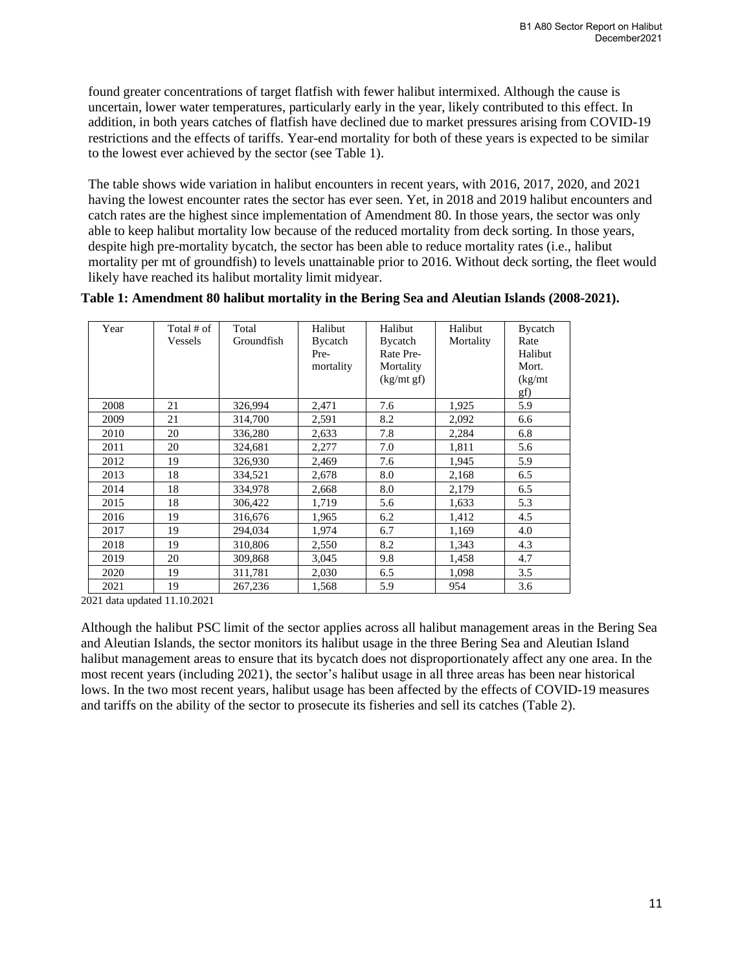found greater concentrations of target flatfish with fewer halibut intermixed. Although the cause is uncertain, lower water temperatures, particularly early in the year, likely contributed to this effect. In addition, in both years catches of flatfish have declined due to market pressures arising from COVID-19 restrictions and the effects of tariffs. Year-end mortality for both of these years is expected to be similar to the lowest ever achieved by the sector (see Table 1).

The table shows wide variation in halibut encounters in recent years, with 2016, 2017, 2020, and 2021 having the lowest encounter rates the sector has ever seen. Yet, in 2018 and 2019 halibut encounters and catch rates are the highest since implementation of Amendment 80. In those years, the sector was only able to keep halibut mortality low because of the reduced mortality from deck sorting. In those years, despite high pre-mortality bycatch, the sector has been able to reduce mortality rates (i.e., halibut mortality per mt of groundfish) to levels unattainable prior to 2016. Without deck sorting, the fleet would likely have reached its halibut mortality limit midyear.

| Year | Total # of<br>Vessels | Total<br>Groundfish | Halibut<br>Bycatch<br>Pre-<br>mortality | Halibut<br>Bycatch<br>Rate Pre-<br>Mortality<br>(kg/mt gf) | Halibut<br>Mortality | Bycatch<br>Rate<br>Halibut<br>Mort.<br>(kg/mt)<br>gf) |
|------|-----------------------|---------------------|-----------------------------------------|------------------------------------------------------------|----------------------|-------------------------------------------------------|
| 2008 | 21                    | 326,994             | 2,471                                   | 7.6                                                        | 1,925                | 5.9                                                   |
| 2009 | 21                    | 314,700             | 2,591                                   | 8.2                                                        | 2,092                | 6.6                                                   |
| 2010 | 20                    | 336,280             | 2,633                                   | 7.8                                                        | 2,284                | 6.8                                                   |
| 2011 | 20                    | 324,681             | 2,277                                   | 7.0                                                        | 1,811                | 5.6                                                   |
| 2012 | 19                    | 326,930             | 2,469                                   | 7.6                                                        | 1,945                | 5.9                                                   |
| 2013 | 18                    | 334,521             | 2,678                                   | 8.0                                                        | 2,168                | 6.5                                                   |
| 2014 | 18                    | 334,978             | 2,668                                   | 8.0                                                        | 2,179                | 6.5                                                   |
| 2015 | 18                    | 306,422             | 1,719                                   | 5.6                                                        | 1,633                | 5.3                                                   |
| 2016 | 19                    | 316,676             | 1,965                                   | 6.2                                                        | 1,412                | 4.5                                                   |
| 2017 | 19                    | 294,034             | 1,974                                   | 6.7                                                        | 1,169                | 4.0                                                   |
| 2018 | 19                    | 310,806             | 2,550                                   | 8.2                                                        | 1,343                | 4.3                                                   |
| 2019 | 20                    | 309,868             | 3,045                                   | 9.8                                                        | 1,458                | 4.7                                                   |
| 2020 | 19                    | 311,781             | 2,030                                   | 6.5                                                        | 1,098                | 3.5                                                   |
| 2021 | 19                    | 267,236             | 1,568                                   | 5.9                                                        | 954                  | 3.6                                                   |

| Table 1: Amendment 80 halibut mortality in the Bering Sea and Aleutian Islands (2008-2021). |  |  |  |  |  |  |  |  |
|---------------------------------------------------------------------------------------------|--|--|--|--|--|--|--|--|
|---------------------------------------------------------------------------------------------|--|--|--|--|--|--|--|--|

2021 data updated 11.10.2021

Although the halibut PSC limit of the sector applies across all halibut management areas in the Bering Sea and Aleutian Islands, the sector monitors its halibut usage in the three Bering Sea and Aleutian Island halibut management areas to ensure that its bycatch does not disproportionately affect any one area. In the most recent years (including 2021), the sector's halibut usage in all three areas has been near historical lows. In the two most recent years, halibut usage has been affected by the effects of COVID-19 measures and tariffs on the ability of the sector to prosecute its fisheries and sell its catches (Table 2).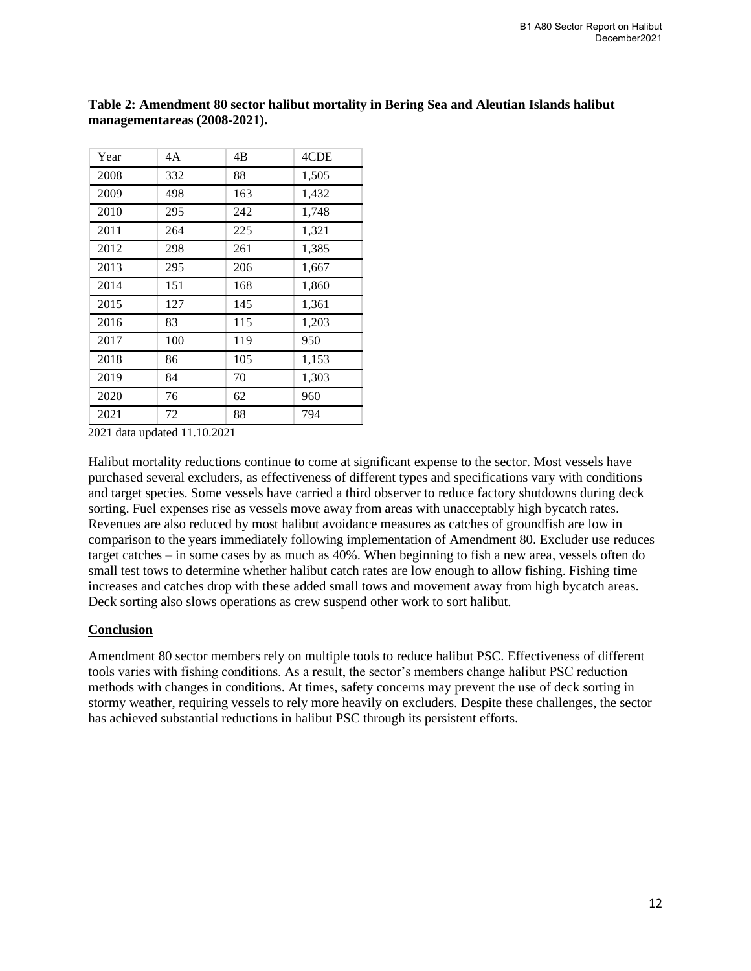| Year | 4A  | 4B  | 4CDE  |
|------|-----|-----|-------|
| 2008 | 332 | 88  | 1,505 |
| 2009 | 498 | 163 | 1,432 |
| 2010 | 295 | 242 | 1,748 |
| 2011 | 264 | 225 | 1,321 |
| 2012 | 298 | 261 | 1,385 |
| 2013 | 295 | 206 | 1,667 |
| 2014 | 151 | 168 | 1,860 |
| 2015 | 127 | 145 | 1,361 |
| 2016 | 83  | 115 | 1,203 |
| 2017 | 100 | 119 | 950   |
| 2018 | 86  | 105 | 1,153 |
| 2019 | 84  | 70  | 1,303 |
| 2020 | 76  | 62  | 960   |
| 2021 | 72  | 88  | 794   |

**Table 2: Amendment 80 sector halibut mortality in Bering Sea and Aleutian Islands halibut managementareas (2008-2021).**

2021 data updated 11.10.2021

Halibut mortality reductions continue to come at significant expense to the sector. Most vessels have purchased several excluders, as effectiveness of different types and specifications vary with conditions and target species. Some vessels have carried a third observer to reduce factory shutdowns during deck sorting. Fuel expenses rise as vessels move away from areas with unacceptably high bycatch rates. Revenues are also reduced by most halibut avoidance measures as catches of groundfish are low in comparison to the years immediately following implementation of Amendment 80. Excluder use reduces target catches – in some cases by as much as 40%. When beginning to fish a new area, vessels often do small test tows to determine whether halibut catch rates are low enough to allow fishing. Fishing time increases and catches drop with these added small tows and movement away from high bycatch areas. Deck sorting also slows operations as crew suspend other work to sort halibut.

### **Conclusion**

Amendment 80 sector members rely on multiple tools to reduce halibut PSC. Effectiveness of different tools varies with fishing conditions. As a result, the sector's members change halibut PSC reduction methods with changes in conditions. At times, safety concerns may prevent the use of deck sorting in stormy weather, requiring vessels to rely more heavily on excluders. Despite these challenges, the sector has achieved substantial reductions in halibut PSC through its persistent efforts.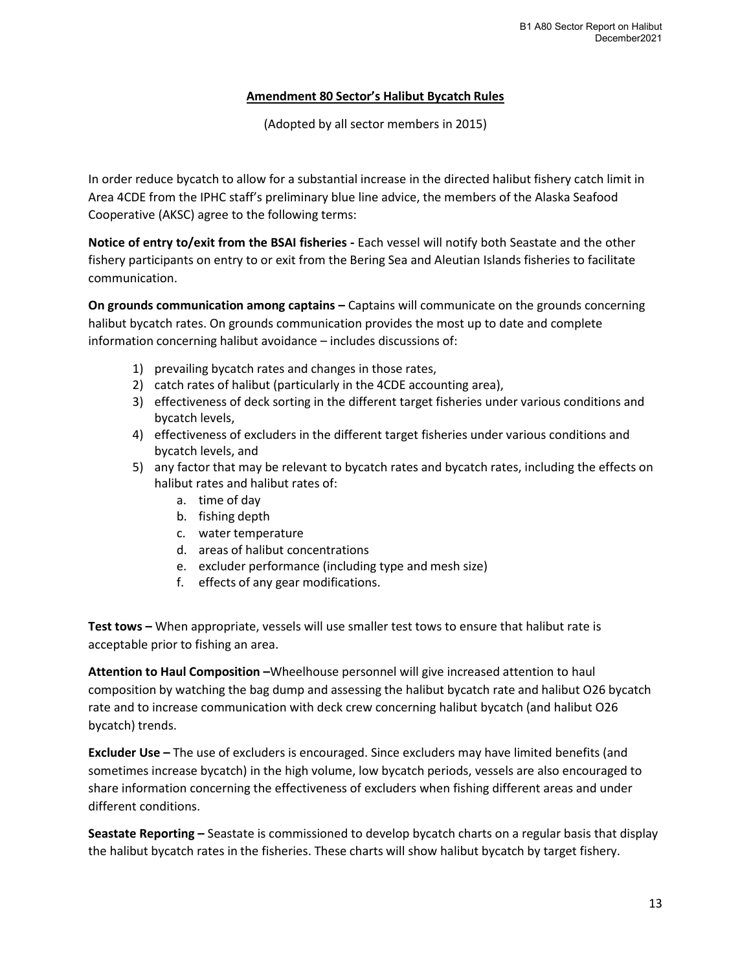# **Amendment 80 Sector's Halibut Bycatch Rules**

(Adopted by all sector members in 2015)

In order reduce bycatch to allow for a substantial increase in the directed halibut fishery catch limit in Area 4CDE from the IPHC staff's preliminary blue line advice, the members of the Alaska Seafood Cooperative (AKSC) agree to the following terms:

**Notice of entry to/exit from the BSAI fisheries -** Each vessel will notify both Seastate and the other fishery participants on entry to or exit from the Bering Sea and Aleutian Islands fisheries to facilitate communication.

**On grounds communication among captains –** Captains will communicate on the grounds concerning halibut bycatch rates. On grounds communication provides the most up to date and complete information concerning halibut avoidance – includes discussions of:

- 1) prevailing bycatch rates and changes in those rates,
- 2) catch rates of halibut (particularly in the 4CDE accounting area),
- 3) effectiveness of deck sorting in the different target fisheries under various conditions and bycatch levels,
- 4) effectiveness of excluders in the different target fisheries under various conditions and bycatch levels, and
- 5) any factor that may be relevant to bycatch rates and bycatch rates, including the effects on halibut rates and halibut rates of:
	- a. time of day
	- b. fishing depth
	- c. water temperature
	- d. areas of halibut concentrations
	- e. excluder performance (including type and mesh size)
	- f. effects of any gear modifications.

**Test tows –** When appropriate, vessels will use smaller test tows to ensure that halibut rate is acceptable prior to fishing an area.

**Attention to Haul Composition –**Wheelhouse personnel will give increased attention to haul composition by watching the bag dump and assessing the halibut bycatch rate and halibut O26 bycatch rate and to increase communication with deck crew concerning halibut bycatch (and halibut O26 bycatch) trends.

**Excluder Use –** The use of excluders is encouraged. Since excluders may have limited benefits (and sometimes increase bycatch) in the high volume, low bycatch periods, vessels are also encouraged to share information concerning the effectiveness of excluders when fishing different areas and under different conditions.

**Seastate Reporting –** Seastate is commissioned to develop bycatch charts on a regular basis that display the halibut bycatch rates in the fisheries. These charts will show halibut bycatch by target fishery.